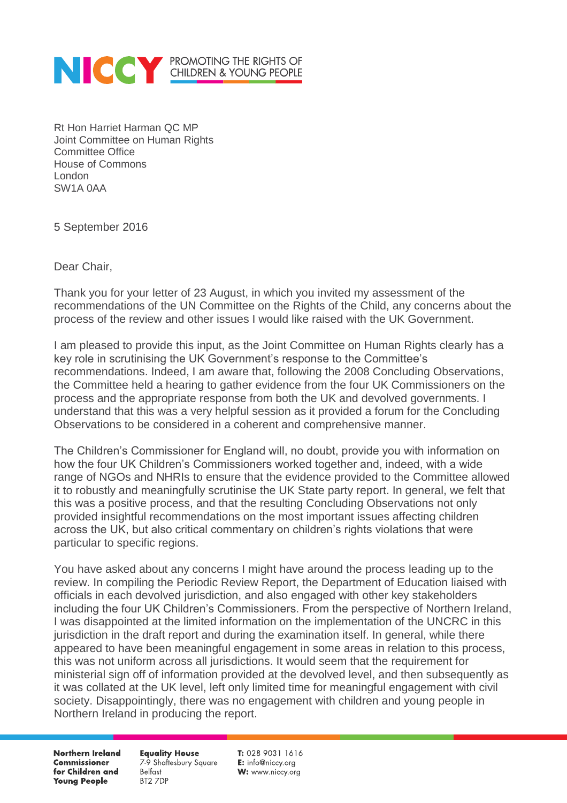

Rt Hon Harriet Harman QC MP Joint Committee on Human Rights Committee Office House of Commons London SW1A 0AA

5 September 2016

Dear Chair,

Thank you for your letter of 23 August, in which you invited my assessment of the recommendations of the UN Committee on the Rights of the Child, any concerns about the process of the review and other issues I would like raised with the UK Government.

I am pleased to provide this input, as the Joint Committee on Human Rights clearly has a key role in scrutinising the UK Government's response to the Committee's recommendations. Indeed, I am aware that, following the 2008 Concluding Observations, the Committee held a hearing to gather evidence from the four UK Commissioners on the process and the appropriate response from both the UK and devolved governments. I understand that this was a very helpful session as it provided a forum for the Concluding Observations to be considered in a coherent and comprehensive manner.

The Children's Commissioner for England will, no doubt, provide you with information on how the four UK Children's Commissioners worked together and, indeed, with a wide range of NGOs and NHRIs to ensure that the evidence provided to the Committee allowed it to robustly and meaningfully scrutinise the UK State party report. In general, we felt that this was a positive process, and that the resulting Concluding Observations not only provided insightful recommendations on the most important issues affecting children across the UK, but also critical commentary on children's rights violations that were particular to specific regions.

You have asked about any concerns I might have around the process leading up to the review. In compiling the Periodic Review Report, the Department of Education liaised with officials in each devolved jurisdiction, and also engaged with other key stakeholders including the four UK Children's Commissioners. From the perspective of Northern Ireland, I was disappointed at the limited information on the implementation of the UNCRC in this jurisdiction in the draft report and during the examination itself. In general, while there appeared to have been meaningful engagement in some areas in relation to this process, this was not uniform across all jurisdictions. It would seem that the requirement for ministerial sign off of information provided at the devolved level, and then subsequently as it was collated at the UK level, left only limited time for meaningful engagement with civil society. Disappointingly, there was no engagement with children and young people in Northern Ireland in producing the report.

**Northern Ireland Commissioner** for Children and **Young People** 

**Equality House** 7-9 Shaftesbury Square **Belfast** BT2 7DP

T: 028 9031 1616 E: info@niccy.org W: www.niccy.org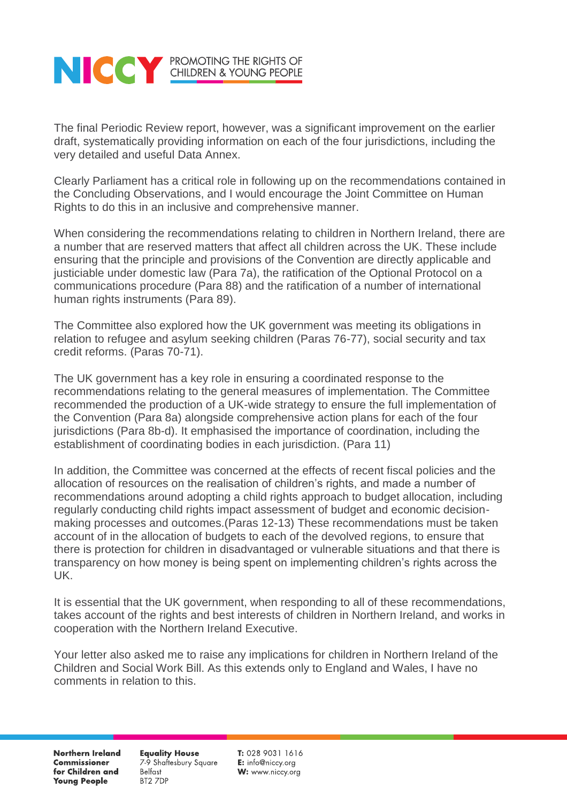

The final Periodic Review report, however, was a significant improvement on the earlier draft, systematically providing information on each of the four jurisdictions, including the very detailed and useful Data Annex.

Clearly Parliament has a critical role in following up on the recommendations contained in the Concluding Observations, and I would encourage the Joint Committee on Human Rights to do this in an inclusive and comprehensive manner.

When considering the recommendations relating to children in Northern Ireland, there are a number that are reserved matters that affect all children across the UK. These include ensuring that the principle and provisions of the Convention are directly applicable and justiciable under domestic law (Para 7a), the ratification of the Optional Protocol on a communications procedure (Para 88) and the ratification of a number of international human rights instruments (Para 89).

The Committee also explored how the UK government was meeting its obligations in relation to refugee and asylum seeking children (Paras 76-77), social security and tax credit reforms. (Paras 70-71).

The UK government has a key role in ensuring a coordinated response to the recommendations relating to the general measures of implementation. The Committee recommended the production of a UK-wide strategy to ensure the full implementation of the Convention (Para 8a) alongside comprehensive action plans for each of the four jurisdictions (Para 8b-d). It emphasised the importance of coordination, including the establishment of coordinating bodies in each jurisdiction. (Para 11)

In addition, the Committee was concerned at the effects of recent fiscal policies and the allocation of resources on the realisation of children's rights, and made a number of recommendations around adopting a child rights approach to budget allocation, including regularly conducting child rights impact assessment of budget and economic decisionmaking processes and outcomes.(Paras 12-13) These recommendations must be taken account of in the allocation of budgets to each of the devolved regions, to ensure that there is protection for children in disadvantaged or vulnerable situations and that there is transparency on how money is being spent on implementing children's rights across the UK.

It is essential that the UK government, when responding to all of these recommendations, takes account of the rights and best interests of children in Northern Ireland, and works in cooperation with the Northern Ireland Executive.

Your letter also asked me to raise any implications for children in Northern Ireland of the Children and Social Work Bill. As this extends only to England and Wales, I have no comments in relation to this.

**Northern Ireland Commissioner** for Children and **Young People** 

**Equality House** 7-9 Shaftesbury Square **Belfast** BT2 7DP

T: 028 9031 1616 E: info@niccy.org W: www.niccy.org